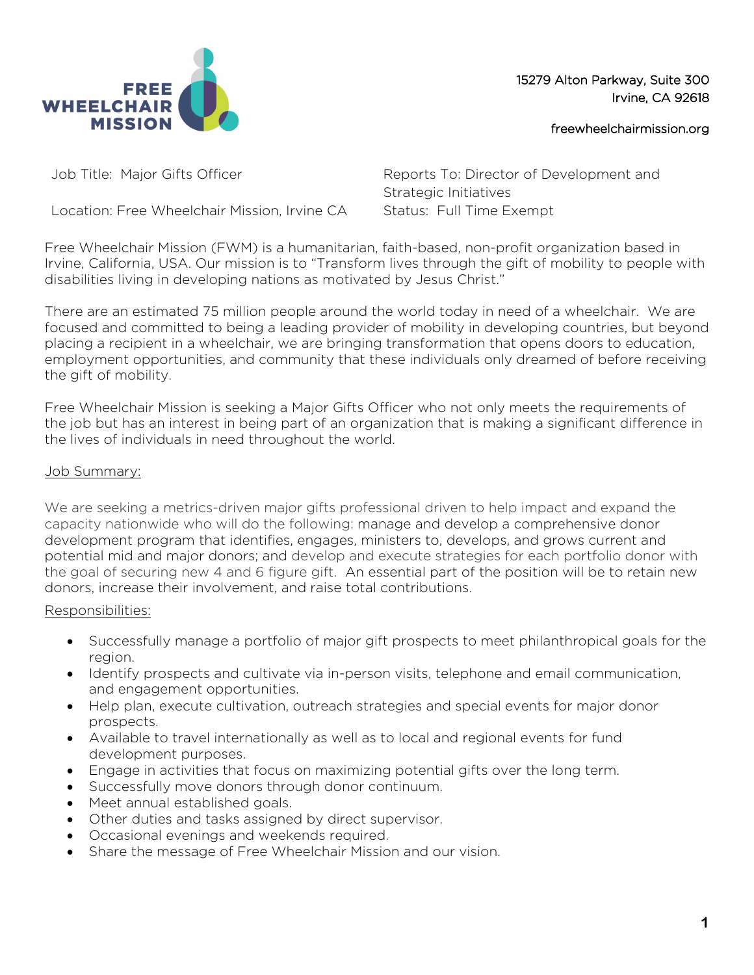

15279 Alton Parkway, Suite 300 Irvine, CA 92618

freewheelchairmission.org

Location: Free Wheelchair Mission, Irvine CA Status: Full Time Exempt

Job Title: Major Gifts Officer Reports To: Director of Development and Strategic Initiatives

Free Wheelchair Mission (FWM) is a humanitarian, faith-based, non-profit organization based in Irvine, California, USA. Our mission is to "Transform lives through the gift of mobility to people with disabilities living in developing nations as motivated by Jesus Christ."

There are an estimated 75 million people around the world today in need of a wheelchair. We are focused and committed to being a leading provider of mobility in developing countries, but beyond placing a recipient in a wheelchair, we are bringing transformation that opens doors to education, employment opportunities, and community that these individuals only dreamed of before receiving the gift of mobility.

Free Wheelchair Mission is seeking a Major Gifts Officer who not only meets the requirements of the job but has an interest in being part of an organization that is making a significant difference in the lives of individuals in need throughout the world.

### Job Summary:

We are seeking a metrics-driven major gifts professional driven to help impact and expand the capacity nationwide who will do the following: manage and develop a comprehensive donor development program that identifies, engages, ministers to, develops, and grows current and potential mid and major donors; and develop and execute strategies for each portfolio donor with the goal of securing new 4 and 6 figure gift. An essential part of the position will be to retain new donors, increase their involvement, and raise total contributions.

#### Responsibilities:

- Successfully manage a portfolio of major gift prospects to meet philanthropical goals for the region.
- Identify prospects and cultivate via in-person visits, telephone and email communication, and engagement opportunities.
- Help plan, execute cultivation, outreach strategies and special events for major donor prospects.
- Available to travel internationally as well as to local and regional events for fund development purposes.
- Engage in activities that focus on maximizing potential gifts over the long term.
- Successfully move donors through donor continuum.
- Meet annual established goals.
- Other duties and tasks assigned by direct supervisor.
- Occasional evenings and weekends required.
- Share the message of Free Wheelchair Mission and our vision.